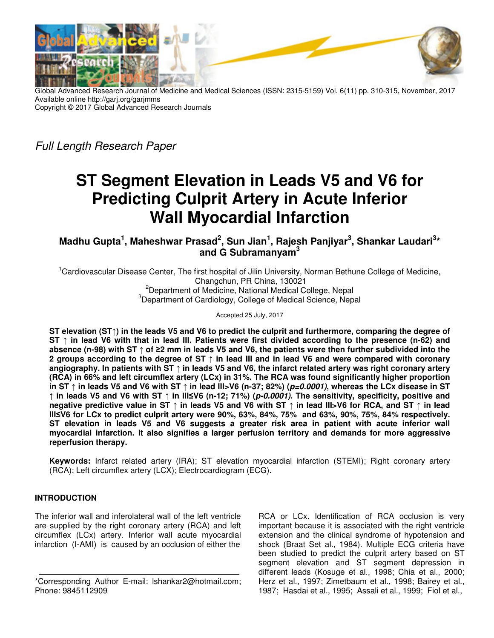![](_page_0_Picture_0.jpeg)

Global Advanced Research Journal of Medicine and Medical Sciences (ISSN: 2315-5159) Vol. 6(11) pp. 310-315, November, 2017 Available online http://garj.org/garjmms Copyright © 2017 Global Advanced Research Journals

Full Length Research Paper

# **ST Segment Elevation in Leads V5 and V6 for Predicting Culprit Artery in Acute Inferior Wall Myocardial Infarction**

**Madhu Gupta<sup>1</sup> , Maheshwar Prasad<sup>2</sup> , Sun Jian<sup>1</sup> , Rajesh Panjiyar<sup>3</sup> , Shankar Laudari<sup>3</sup> \* and G Subramanyam<sup>3</sup>**

<sup>1</sup>Cardiovascular Disease Center, The first hospital of Jilin University, Norman Bethune College of Medicine, Changchun, PR China, 130021 <sup>2</sup>Department of Medicine, National Medical College, Nepal <sup>3</sup>Department of Cardiology, College of Medical Science, Nepal

Accepted 25 July, 2017

**ST elevation (ST↑) in the leads V5 and V6 to predict the culprit and furthermore, comparing the degree of ST ↑ in lead V6 with that in lead III. Patients were first divided according to the presence (n-62) and absence (n-98) with ST ↑ of ≥2 mm in leads V5 and V6, the patients were then further subdivided into the 2 groups according to the degree of ST ↑ in lead III and in lead V6 and were compared with coronary angiography. In patients with ST ↑ in leads V5 and V6, the infarct related artery was right coronary artery (RCA) in 66% and left circumflex artery (LCx) in 31%. The RCA was found significantly higher proportion in ST ↑ in leads V5 and V6 with ST ↑ in lead III>V6 (n-37; 82%) (p=0.0001), whereas the LCx disease in ST ↑ in leads V5 and V6 with ST ↑ in III≤V6 (n-12; 71%) (p-0.0001). The sensitivity, specificity, positive and negative predictive value in ST ↑ in leads V5 and V6 with ST ↑ in lead III>V6 for RCA, and ST ↑ in lead III≤V6 for LCx to predict culprit artery were 90%, 63%, 84%, 75% and 63%, 90%, 75%, 84% respectively. ST elevation in leads V5 and V6 suggests a greater risk area in patient with acute inferior wall myocardial infarction. It also signifies a larger perfusion territory and demands for more aggressive reperfusion therapy.** 

**Keywords:** Infarct related artery (IRA); ST elevation myocardial infarction (STEMI); Right coronary artery (RCA); Left circumflex artery (LCX); Electrocardiogram (ECG).

# **INTRODUCTION**

The inferior wall and inferolateral wall of the left ventricle are supplied by the right coronary artery (RCA) and left circumflex (LCx) artery. Inferior wall acute myocardial infarction (I-AMI) is caused by an occlusion of either the

RCA or LCx. Identification of RCA occlusion is very important because it is associated with the right ventricle extension and the clinical syndrome of hypotension and shock (Braat Set al., 1984). Multiple ECG criteria have been studied to predict the culprit artery based on ST segment elevation and ST segment depression in different leads (Kosuge et al., 1998; Chia et al., 2000; Herz et al., 1997; Zimetbaum et al., 1998; Bairey et al., 1987; Hasdai et al., 1995; Assali et al., 1999; Fiol et al.,

<sup>\*</sup>Corresponding Author E-mail: lshankar2@hotmail.com; Phone: 9845112909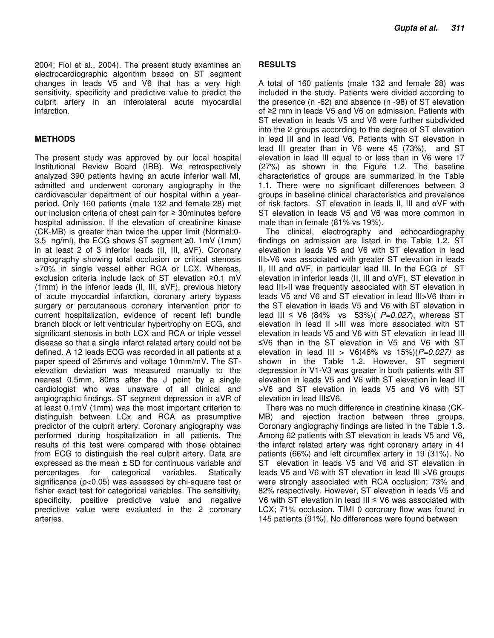2004; Fiol et al., 2004). The present study examines an electrocardiographic algorithm based on ST segment changes in leads V5 and V6 that has a very high sensitivity, specificity and predictive value to predict the culprit artery in an inferolateral acute myocardial infarction.

### **METHODS**

The present study was approved by our local hospital Institutional Review Board (IRB). We retrospectively analyzed 390 patients having an acute inferior wall MI, admitted and underwent coronary angiography in the cardiovascular department of our hospital within a yearperiod. Only 160 patients (male 132 and female 28) met our inclusion criteria of chest pain for ≥ 30minutes before hospital admission. If the elevation of creatinine kinase (CK-MB) is greater than twice the upper limit (Normal:0- 3.5 ng/ml), the ECG shows ST segment ≥0. 1mV (1mm) in at least 2 of 3 inferior leads (II, III, aVF). Coronary angiography showing total occlusion or critical stenosis >70% in single vessel either RCA or LCX. Whereas, exclusion criteria include lack of ST elevation ≥0.1 mV (1mm) in the inferior leads (II, III, aVF), previous history of acute myocardial infarction, coronary artery bypass surgery or percutaneous coronary intervention prior to current hospitalization, evidence of recent left bundle branch block or left ventricular hypertrophy on ECG, and significant stenosis in both LCX and RCA or triple vessel disease so that a single infarct related artery could not be defined. A 12 leads ECG was recorded in all patients at a paper speed of 25mm/s and voltage 10mm/mV. The STelevation deviation was measured manually to the nearest 0.5mm, 80ms after the J point by a single cardiologist who was unaware of all clinical and angiographic findings. ST segment depression in aVR of at least 0.1mV (1mm) was the most important criterion to distinguish between LCx and RCA as presumptive predictor of the culprit artery. Coronary angiography was performed during hospitalization in all patients. The results of this test were compared with those obtained from ECG to distinguish the real culprit artery. Data are expressed as the mean  $\pm$  SD for continuous variable and percentages for categorical variables. Statically significance (p<0.05) was assessed by chi-square test or fisher exact test for categorical variables. The sensitivity, specificity, positive predictive value and negative predictive value were evaluated in the 2 coronary arteries.

### **RESULTS**

A total of 160 patients (male 132 and female 28) was included in the study. Patients were divided according to the presence (n -62) and absence (n -98) of ST elevation of ≥2 mm in leads V5 and V6 on admission. Patients with ST elevation in leads V5 and V6 were further subdivided into the 2 groups according to the degree of ST elevation in lead III and in lead V6. Patients with ST elevation in lead III greater than in V6 were 45 (73%), and ST elevation in lead III equal to or less than in V6 were 17 (27%) as shown in the Figure 1.2. The baseline characteristics of groups are summarized in the Table 1.1. There were no significant differences between 3 groups in baseline clinical characteristics and prevalence of risk factors. ST elevation in leads II, III and αVF with ST elevation in leads V5 and V6 was more common in male than in female (81% vs 19%).

The clinical, electrography and echocardiography findings on admission are listed in the Table 1.2. ST elevation in leads V5 and V6 with ST elevation in lead III>V6 was associated with greater ST elevation in leads II, III and αVF, in particular lead III. In the ECG of ST elevation in inferior leads (II, III and αVF), ST elevation in lead III>II was frequently associated with ST elevation in leads V5 and V6 and ST elevation in lead III>V6 than in the ST elevation in leads V5 and V6 with ST elevation in lead III ≤ V6 (84% vs 53%)(  $P=0.027$ ), whereas ST elevation in lead II >III was more associated with ST elevation in leads V5 and V6 with ST elevation in lead III ≤V6 than in the ST elevation in V5 and V6 with ST elevation in lead III >  $V6(46\% \text{ vs } 15\%)(P=0.027)$  as shown in the Table 1.2. However, ST segment depression in V1-V3 was greater in both patients with ST elevation in leads V5 and V6 with ST elevation in lead III >V6 and ST elevation in leads V5 and V6 with ST elevation in lead III≤V6.

There was no much difference in creatinine kinase (CK-MB) and ejection fraction between three groups. Coronary angiography findings are listed in the Table 1.3. Among 62 patients with ST elevation in leads V5 and V6, the infarct related artery was right coronary artery in 41 patients (66%) and left circumflex artery in 19 (31%). No ST elevation in leads V5 and V6 and ST elevation in leads V5 and V6 with ST elevation in lead III >V6 groups were strongly associated with RCA occlusion; 73% and 82% respectively. However, ST elevation in leads V5 and V6 with ST elevation in lead III ≤ V6 was associated with LCX; 71% occlusion. TIMI 0 coronary flow was found in 145 patients (91%). No differences were found between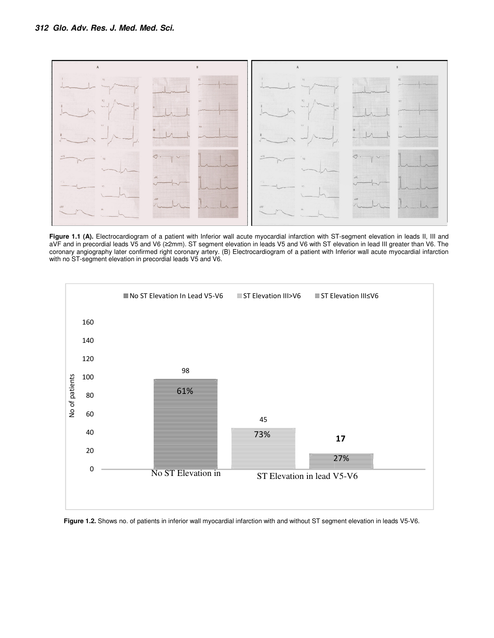![](_page_2_Figure_1.jpeg)

Figure 1.1 (A). Electrocardiogram of a patient with Inferior wall acute myocardial infarction with ST-segment elevation in leads II, III and aVF and in precordial leads V5 and V6 (≥2mm). ST segment elevation in leads V5 and V6 with ST elevation in lead III greater than V6. The coronary angiography later confirmed right coronary artery. (B) Electrocardiogram of a patient with Inferior wall acute myocardial infarction with no ST-segment elevation in precordial leads V5 and V6.

![](_page_2_Figure_3.jpeg)

**Figure 1.2.** Shows no. of patients in inferior wall myocardial infarction with and without ST segment elevation in leads V5-V6.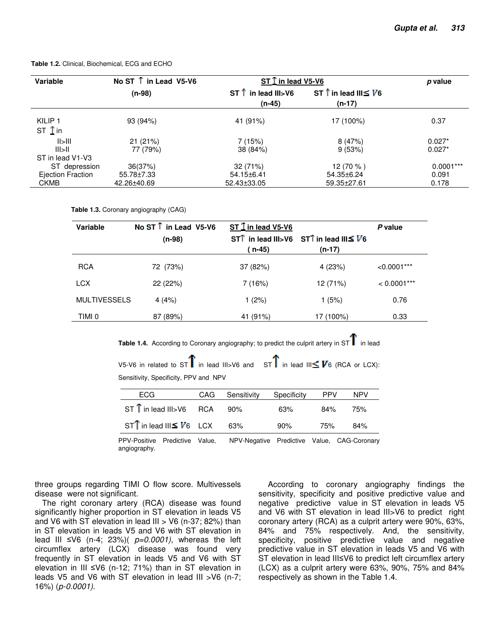**Table 1.2.** Clinical, Biochemical, ECG and ECHO

| Variable                                   | No ST $\hat{I}$ in Lead V5-V6 | $ST$ $\Gamma$ in lead V5-V6             |                                                 | p value     |
|--------------------------------------------|-------------------------------|-----------------------------------------|-------------------------------------------------|-------------|
|                                            | $(n-98)$                      | $ST \hat{T}$ in lead III>V6<br>$(n-45)$ | ST $\hat{I}$ in lead III $\leq V$ 6<br>$(n-17)$ |             |
| KILIP <sub>1</sub><br>ST $\overline{1}$ in | 93 (94%)                      | 41 (91%)                                | 17 (100%)                                       | 0.37        |
| $  \rangle$                                | 21(21%)                       | 7(15%)                                  | 8(47%)                                          | $0.027*$    |
| III > II                                   | 77 (79%)                      | 38 (84%)                                | 9(53%)                                          | $0.027*$    |
| ST in lead V1-V3                           |                               |                                         |                                                 |             |
| ST depression                              | 36(37%)                       | 32 (71%)                                | 12 (70 %)                                       | $0.0001***$ |
| Ejection Fraction                          | 55.78±7.33                    | 54.15±6.41                              | 54.35±6.24                                      | 0.091       |
| <b>CKMB</b>                                | 42.26±40.69                   | 52.43±33.05                             | 59.35±27.61                                     | 0.178       |

**Table 1.3.** Coronary angiography (CAG)

| Variable            | No ST $\uparrow$ in Lead V5-V6 | ST $\overline{1}$ in lead V5-V6 | P value                                                                                                                  |               |
|---------------------|--------------------------------|---------------------------------|--------------------------------------------------------------------------------------------------------------------------|---------------|
|                     | $(n-98)$                       |                                 | ST <sup><math>\uparrow</math></sup> in lead III>V6 ST <sup><math>\uparrow</math></sup> in lead III $\leq$ V <sub>6</sub> |               |
|                     |                                | (n-45)                          | $(n-17)$                                                                                                                 |               |
| <b>RCA</b>          | 72 (73%)                       | 37 (82%)                        | 4(23%)                                                                                                                   | $< 0.0001***$ |
| <b>LCX</b>          | 22 (22%)                       | 7(16%)                          | 12 (71%)                                                                                                                 | $< 0.0001***$ |
| <b>MULTIVESSELS</b> | 4(4%)                          | 1 $(2%)$                        | 1(5%)                                                                                                                    | 0.76          |
| TIMI 0              | 87 (89%)                       | 41 (91%)                        | 17 (100%)                                                                                                                | 0.33          |

**Table 1.4.** According to Coronary angiography; to predict the culprit artery in ST $\Gamma$  in lead

V5-V6 in related to ST $\Gamma$  in lead III>V6 and ST $\Gamma$  in lead III $\leq$  **V**6 (RCA or LCX): Sensitivity, Specificity, PPV and NPV

| ECG                                            | CAG | Sensitivity | Specificity | <b>PPV</b> | <b>NPV</b> |
|------------------------------------------------|-----|-------------|-------------|------------|------------|
| $ST \hat{\text{I}}$ in lead III>V6 RCA 90%     |     |             | 63%         | 84%        | 75%        |
| $ST^{\text{T}}$ in lead III $\leq V_6$ LCX 63% |     |             | 90%         | 75%        | 84%        |

PPV-Positive Predictive Value, NPV-Negative Predictive Value, CAG-Coronary angiography.

three groups regarding TIMI O flow score. Multivessels disease were not significant.

The right coronary artery (RCA) disease was found significantly higher proportion in ST elevation in leads V5 and V6 with ST elevation in lead III  $>$  V6 (n-37; 82%) than in ST elevation in leads V5 and V6 with ST elevation in lead III ≤V6 (n-4; 23%)(  $p=0.0001$ ), whereas the left circumflex artery (LCX) disease was found very frequently in ST elevation in leads V5 and V6 with ST elevation in III ≤V6 (n-12; 71%) than in ST elevation in leads V5 and V6 with ST elevation in lead III >V6 (n-7; 16%) (p-0.0001).

 According to coronary angiography findings the sensitivity, specificity and positive predictive value and negative predictive value in ST elevation in leads V5 and V6 with ST elevation in lead III>V6 to predict right coronary artery (RCA) as a culprit artery were 90%, 63%, 84% and 75% respectively. And, the sensitivity, specificity, positive predictive value and negative predictive value in ST elevation in leads V5 and V6 with ST elevation in lead III≤V6 to predict left circumflex artery (LCX) as a culprit artery were 63%, 90%, 75% and 84% respectively as shown in the Table 1.4.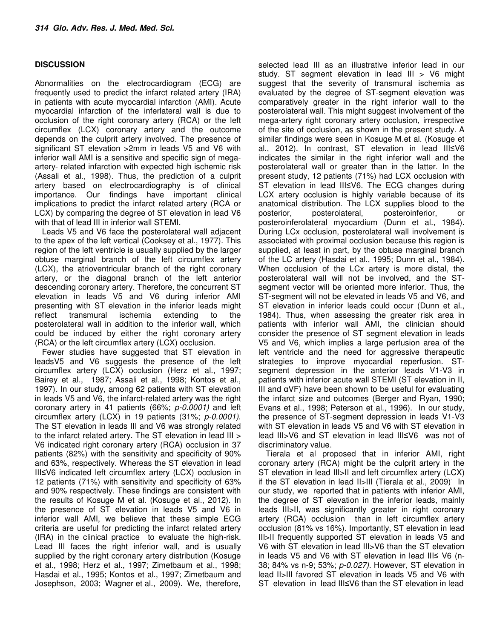## **DISCUSSION**

Abnormalities on the electrocardiogram (ECG) are frequently used to predict the infarct related artery (IRA) in patients with acute myocardial infarction (AMI). Acute myocardial infarction of the inferlateral wall is due to occlusion of the right coronary artery (RCA) or the left circumflex (LCX) coronary artery and the outcome depends on the culprit artery involved. The presence of significant ST elevation >2mm in leads V5 and V6 with inferior wall AMI is a sensitive and specific sign of megaartery- related infarction with expected high ischemic risk (Assali et al., 1998). Thus, the prediction of a culprit artery based on electrocardiography is of clinical importance. Our findings have important clinical implications to predict the infarct related artery (RCA or LCX) by comparing the degree of ST elevation in lead V6 with that of lead III in inferior wall STEMI.

Leads V5 and V6 face the posterolateral wall adjacent to the apex of the left vertical (Cooksey et al., 1977). This region of the left ventricle is usually supplied by the larger obtuse marginal branch of the left circumflex artery (LCX), the atrioventricular branch of the right coronary artery, or the diagonal branch of the left anterior descending coronary artery. Therefore, the concurrent ST elevation in leads V5 and V6 during inferior AMI presenting with ST elevation in the inferior leads might reflect transmural ischemia extending to the posterolateral wall in addition to the inferior wall, which could be induced by either the right coronary artery (RCA) or the left circumflex artery (LCX) occlusion.

Fewer studies have suggested that ST elevation in leadsV5 and V6 suggests the presence of the left circumflex artery (LCX) occlusion (Herz et al., 1997; Bairey et al., 1987; Assali et al., 1998; Kontos et al., 1997). In our study, among 62 patients with ST elevation in leads V5 and V6, the infarct-related artery was the right coronary artery in 41 patients (66%; p-0.0001) and left circumflex artery (LCX) in 19 patients (31%; p-0.0001). The ST elevation in leads III and V6 was strongly related to the infarct related artery. The ST elevation in lead III > V6 indicated right coronary artery (RCA) occlusion in 37 patients (82%) with the sensitivity and specificity of 90% and 63%, respectively. Whereas the ST elevation in lead III≤V6 indicated left circumflex artery (LCX) occlusion in 12 patients (71%) with sensitivity and specificity of 63% and 90% respectively. These findings are consistent with the results of Kosuge M et al. (Kosuge et al., 2012). In the presence of ST elevation in leads V5 and V6 in inferior wall AMI, we believe that these simple ECG criteria are useful for predicting the infarct related artery (IRA) in the clinical practice to evaluate the high-risk. Lead III faces the right inferior wall, and is usually supplied by the right coronary artery distribution (Kosuge et al., 1998; Herz et al., 1997; Zimetbaum et al., 1998; Hasdai et al., 1995; Kontos et al., 1997; Zimetbaum and Josephson, 2003; Wagner et al., 2009). We, therefore,

selected lead III as an illustrative inferior lead in our study. ST segment elevation in lead III > V6 might suggest that the severity of transmural ischemia as evaluated by the degree of ST-segment elevation was comparatively greater in the right inferior wall to the posterolateral wall. This might suggest involvement of the mega-artery right coronary artery occlusion, irrespective of the site of occlusion, as shown in the present study. A similar findings were seen in Kosuge M.et al. (Kosuge et al., 2012). In contrast, ST elevation in lead III≤V6 indicates the similar in the right inferior wall and the posterolateral wall or greater than in the latter. In the present study, 12 patients (71%) had LCX occlusion with ST elevation in lead III≤V6. The ECG changes during LCX artery occlusion is highly variable because of its anatomical distribution. The LCX supplies blood to the posterior, posterolateral, posteroinferior, or posteroinferolateral myocardium (Dunn et al., 1984). During LCx occlusion, posterolateral wall involvement is associated with proximal occlusion because this region is supplied, at least in part, by the obtuse marginal branch of the LC artery (Hasdai et al., 1995; Dunn et al., 1984). When occlusion of the LCx artery is more distal, the posterolateral wall will not be involved, and the STsegment vector will be oriented more inferior. Thus, the ST-segment will not be elevated in leads V5 and V6, and ST elevation in inferior leads could occur (Dunn et al., 1984). Thus, when assessing the greater risk area in patients with inferior wall AMI, the clinician should consider the presence of ST segment elevation in leads V5 and V6, which implies a large perfusion area of the left ventricle and the need for aggressive therapeutic strategies to improve myocardial reperfusion. STsegment depression in the anterior leads V1-V3 in patients with inferior acute wall STEMI (ST elevation in II, III and  $αVF$ ) have been shown to be useful for evaluating the infarct size and outcomes (Berger and Ryan, 1990; Evans et al., 1998; Peterson et al., 1996). In our study, the presence of ST-segment depression in leads V1-V3 with ST elevation in leads V5 and V6 with ST elevation in lead III>V6 and ST elevation in lead III≤V6 was not of discriminatory value.

Tierala et al proposed that in inferior AMI, right coronary artery (RCA) might be the culprit artery in the ST elevation in lead III>II and left circumflex artery (LCX) if the ST elevation in lead II>III (Tierala et al., 2009). In our study, we reported that in patients with inferior AMI, the degree of ST elevation in the inferior leads, mainly leads III>II, was significantly greater in right coronary artery (RCA) occlusion than in left circumflex artery occlusion (81% vs 16%). Importantly, ST elevation in lead III>II frequently supported ST elevation in leads V5 and V6 with ST elevation in lead III>V6 than the ST elevation in leads V5 and V6 with ST elevation in lead III≤ V6 (n-38; 84% vs n-9; 53%; p-0.027). However, ST elevation in lead II>III favored ST elevation in leads V5 and V6 with ST elevation in lead III≤V6 than the ST elevation in lead